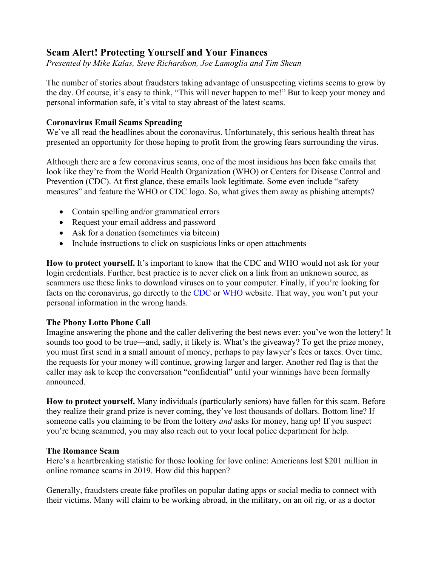# **Scam Alert! Protecting Yourself and Your Finances**

*Presented by Mike Kalas, Steve Richardson, Joe Lamoglia and Tim Shean*

The number of stories about fraudsters taking advantage of unsuspecting victims seems to grow by the day. Of course, it's easy to think, "This will never happen to me!" But to keep your money and personal information safe, it's vital to stay abreast of the latest scams.

## **Coronavirus Email Scams Spreading**

We've all read the headlines about the coronavirus. Unfortunately, this serious health threat has presented an opportunity for those hoping to profit from the growing fears surrounding the virus.

Although there are a few coronavirus scams, one of the most insidious has been fake emails that look like they're from the World Health Organization (WHO) or Centers for Disease Control and Prevention (CDC). At first glance, these emails look legitimate. Some even include "safety measures" and feature the WHO or CDC logo. So, what gives them away as phishing attempts?

- Contain spelling and/or grammatical errors
- Request your email address and password
- Ask for a donation (sometimes via bitcoin)
- Include instructions to click on suspicious links or open attachments

**How to protect yourself.** It's important to know that the CDC and WHO would not ask for your login credentials. Further, best practice is to never click on a link from an unknown source, as scammers use these links to download viruses on to your computer. Finally, if you're looking for facts on the coronavirus, go directly to the [CDC](https://www.cdc.gov/coronavirus/index.html) or [WHO](https://www.who.int/emergencies/diseases/novel-coronavirus-2019) website. That way, you won't put your personal information in the wrong hands.

## **The Phony Lotto Phone Call**

Imagine answering the phone and the caller delivering the best news ever: you've won the lottery! It sounds too good to be true—and, sadly, it likely is. What's the giveaway? To get the prize money, you must first send in a small amount of money, perhaps to pay lawyer's fees or taxes. Over time, the requests for your money will continue, growing larger and larger. Another red flag is that the caller may ask to keep the conversation "confidential" until your winnings have been formally announced.

**How to protect yourself.** Many individuals (particularly seniors) have fallen for this scam. Before they realize their grand prize is never coming, they've lost thousands of dollars. Bottom line? If someone calls you claiming to be from the lottery *and* asks for money, hang up! If you suspect you're being scammed, you may also reach out to your local police department for help.

## **The Romance Scam**

Here's a heartbreaking statistic for those looking for love online: Americans lost \$201 million in online romance scams in 2019. How did this happen?

Generally, fraudsters create fake profiles on popular dating apps or social media to connect with their victims. Many will claim to be working abroad, in the military, on an oil rig, or as a doctor